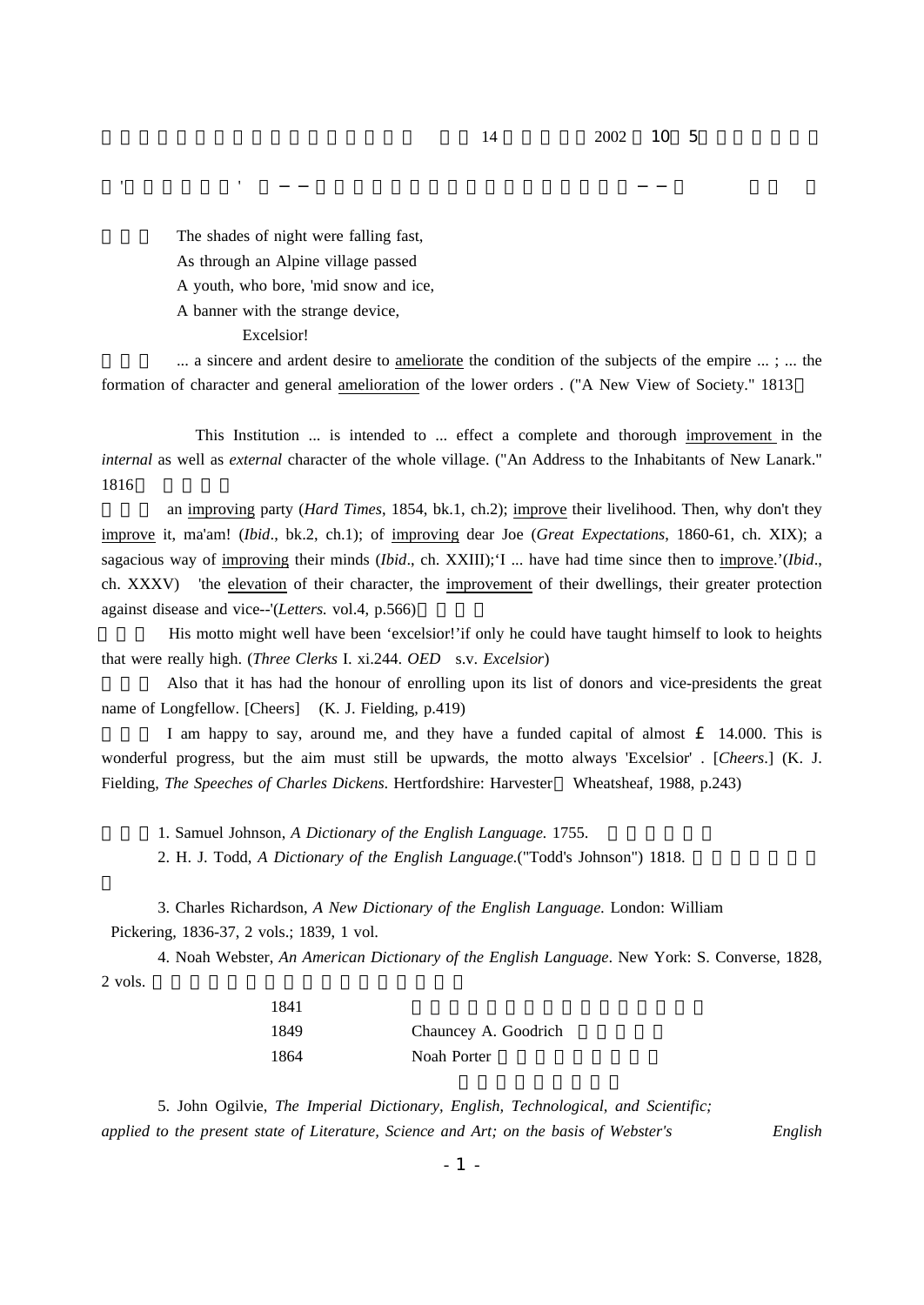## $14$  2002 10 5

The shades of night were falling fast, As through an Alpine village passed A youth, who bore, 'mid snow and ice, A banner with the strange device,

Excelsior!

 $\ldots$  a sincere and ardent desire to ameliorate the condition of the subjects of the empire  $\ldots$ ;  $\ldots$  the formation of character and general amelioration of the lower orders . ("A New View of Society." 1813

コンプレーション スター・ディケット こうしょうしゅう こうしゅうしゅう アイディケーション

This Institution ... is intended to ... effect a complete and thorough improvement in the *internal* as well as *external* character of the whole village. ("An Address to the Inhabitants of New Lanark." 1816

an improving party (*Hard Times*, 1854, bk.1, ch.2); improve their livelihood. Then, why don't they improve it, ma'am! (*Ibid.*, bk.2, ch.1); of improving dear Joe (Great Expectations, 1860-61, ch. XIX); a sagacious way of improving their minds (*Ibid.*, ch. XXIII);'I ... have had time since then to improve.'(*Ibid.*, ch. XXXV) 'the elevation of their character, the improvement of their dwellings, their greater protection against disease and vice--'(Letters. vol.4, p.566)

His motto might well have been 'excelsior!'if only he could have taught himself to look to heights that were really high. (*Three Clerks I. xi.244. OED* s.v. *Excelsior*)

(5) Also that it has had the honour of enrolling upon its list of donors and vice-presidents the great name of Longfellow. [Cheers] (K. J. Fielding, p.419)

I am happy to say, around me, and they have a funded capital of almost  $\pounds$  14.000. This is wonderful progress, but the aim must still be upwards, the motto always 'Excelsior' . [Cheers.] (K. J. Fielding, *The Speeches of Charles Dickens*. Hertfordshire: Harvester Wheatsheaf, 1988, p.243)

1. Samuel Johnson, A Dictionary of the English Language. 1755.

2. H. J. Todd, A Dictionary of the English Language. ("Todd's Johnson") 1818.

3. Charles Richardson, A New Dictionary of the English Language. London: William Pickering, 1836-37, 2 vols.; 1839, 1 vol.

4. Noah Webster, An American Dictionary of the English Language. New York: S. Converse, 1828, 2 vols.

| 1841 |                      |
|------|----------------------|
| 1849 | Chauncey A. Goodrich |
| 1864 | Noah Porter          |

5. John Ogilvie, *The Imperial Dictionary, English, Technological, and Scientific; applied to the present state of Literature, Science and Art; on the basis of Webster's English*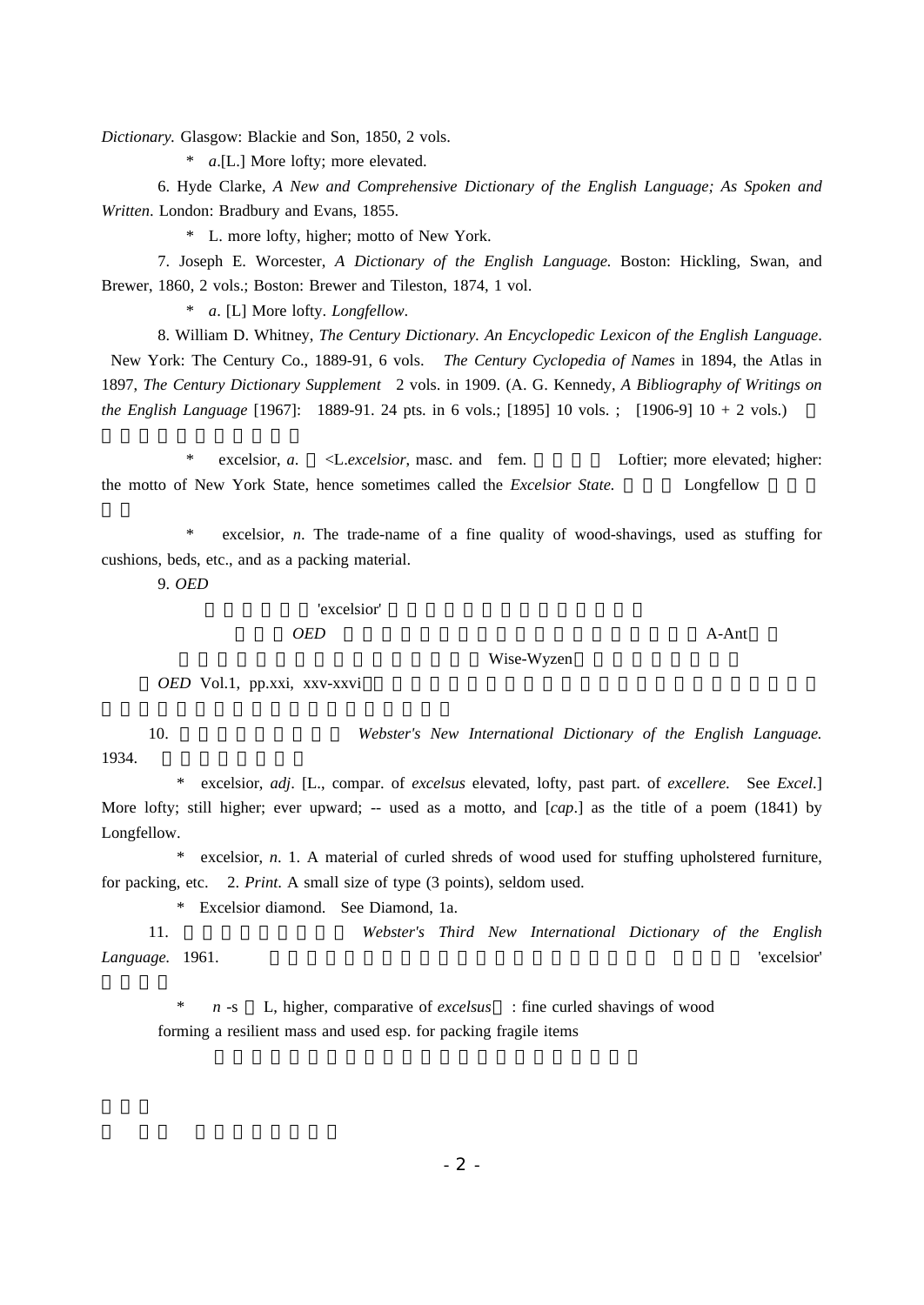*Dictionary.* Glasgow: Blackie and Son, 1850, 2 vols.

\* *a*.[L.] More lofty; more elevated.

6. Hyde Clarke, *A New and Comprehensive Dictionary of the English Language; As Spoken and Written*. London: Bradbury and Evans, 1855.

\* L. more lofty, higher; motto of New York.

7. Joseph E. Worcester, A Dictionary of the English Language. Boston: Hickling, Swan, and Brewer, 1860, 2 vols.; Boston: Brewer and Tileston, 1874, 1 vol.

\* *a.* [L] More lofty. *Longfellow*.

8. William D. Whitney, The Century Dictionary. An Encyclopedic Lexicon of the English Language. New York: The Century Co., 1889-91, 6 vols. *The Century Cyclopedia of Names* in 1894, the Atlas in 1897, The Century Dictionary Supplement 2 vols. in 1909. (A. G. Kennedy, A Bibliography of Writings on *the English Language* [1967]: 1889-91. 24 pts. in 6 vols.; [1895] 10 vols. ; [1906-9] 10 + 2 vols.)

\* excelsior, a. <L. excelsior, masc. and fem. Loftier; more elevated; higher: the motto of New York State, hence sometimes called the *Excelsior State*. Longfellow

\* excelsior, *n*. The trade-name of a fine quality of wood-shavings, used as stuffing for cushions, beds, etc., and as a packing material.

9. *OED*

## 'excelsior' 但し、 の資料収集開始は1858年、第1分冊( )の *OED* A-Ant

( 。1933年に補遺3巻を加え、収録語数は全13巻 *OED* Vol.1, pp.xxi, xxv-xxvi

10. *Webster's New International Dictionary of the English Language.* 1934.

Wise-Wyzen

\* excelsior, *adj.* [L., compar. of *excelsus* elevated, lofty, past part. of *excellere.* See *Excel.*] More lofty; still higher; ever upward; -- used as a motto, and [*cap*.] as the title of a poem (1841) by Longfellow.

\* excelsior, *n.* 1. A material of curled shreds of wood used for stuffing upholstered furniture, for packing, etc. 2. *Print*. A small size of type (3 points), seldom used.

\* Excelsior diamond. See Diamond, 1a.

11. *Webster's Third New International Dictionary of the English Language.* 1961. 収録語数45万語。収録語数は第二版より減少 第三版の 'excelsior'

 $n -s$  L, higher, comparative of *excelsus* : fine curled shavings of wood forming a resilient mass and used esp. for packing fragile items